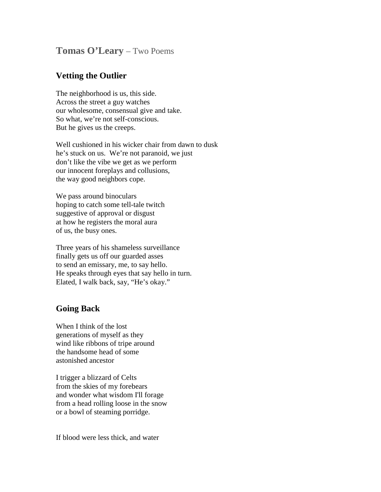## **Tomas O'Leary** – Two Poems

## **Vetting the Outlier**

The neighborhood is us, this side. Across the street a guy watches our wholesome, consensual give and take. So what, we're not self-conscious. But he gives us the creeps.

Well cushioned in his wicker chair from dawn to dusk he's stuck on us. We're not paranoid, we just don't like the vibe we get as we perform our innocent foreplays and collusions, the way good neighbors cope.

We pass around binoculars hoping to catch some tell-tale twitch suggestive of approval or disgust at how he registers the moral aura of us, the busy ones.

Three years of his shameless surveillance finally gets us off our guarded asses to send an emissary, me, to say hello. He speaks through eyes that say hello in turn. Elated, I walk back, say, "He's okay."

## **Going Back**

When I think of the lost generations of myself as they wind like ribbons of tripe around the handsome head of some astonished ancestor

I trigger a blizzard of Celts from the skies of my forebears and wonder what wisdom I'll forage from a head rolling loose in the snow or a bowl of steaming porridge.

If blood were less thick, and water